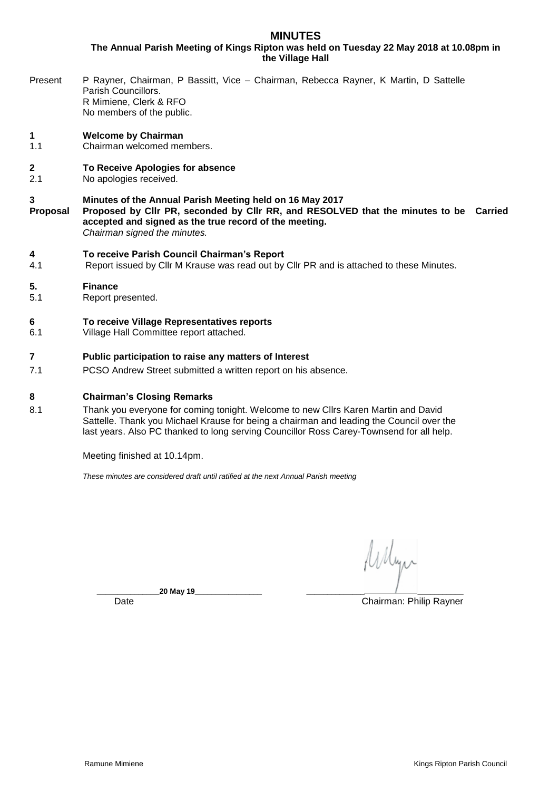# **MINUTES**

**The Annual Parish Meeting of Kings Ripton was held on Tuesday 22 May 2018 at 10.08pm in the Village Hall**

Present P Rayner, Chairman, P Bassitt, Vice – Chairman, Rebecca Rayner, K Martin, D Sattelle Parish Councillors. R Mimiene, Clerk & RFO No members of the public.

## **1 Welcome by Chairman**

- 1.1 Chairman welcomed members.
- **2 To Receive Apologies for absence**
- 2.1 No apologies received.
- **3 Minutes of the Annual Parish Meeting held on 16 May 2017**
- **Proposal Proposed by Cllr PR, seconded by Cllr RR, and RESOLVED that the minutes to be Carried accepted and signed as the true record of the meeting.** *Chairman signed the minutes.*

**4 To receive Parish Council Chairman's Report** Report issued by Cllr M Krause was read out by Cllr PR and is attached to these Minutes.

### **5. Finance**

5.1 Report presented.

### **6 To receive Village Representatives reports**

6.1 Village Hall Committee report attached.

### **7 Public participation to raise any matters of Interest**

7.1 PCSO Andrew Street submitted a written report on his absence.

## **8 Chairman's Closing Remarks**

8.1 Thank you everyone for coming tonight. Welcome to new Cllrs Karen Martin and David Sattelle. Thank you Michael Krause for being a chairman and leading the Council over the last years. Also PC thanked to long serving Councillor Ross Carey-Townsend for all help.

Meeting finished at 10.14pm.

*These minutes are considered draft until ratified at the next Annual Parish meeting*

Whyn

**\_\_\_\_\_\_\_\_\_\_\_\_\_\_\_20 May 19\_\_\_\_\_\_\_\_\_\_\_\_\_\_\_\_ \_\_\_\_\_\_\_\_\_\_\_\_\_\_ \_\_\_\_\_\_\_\_\_\_\_**

Date **Chairman: Philip Rayner**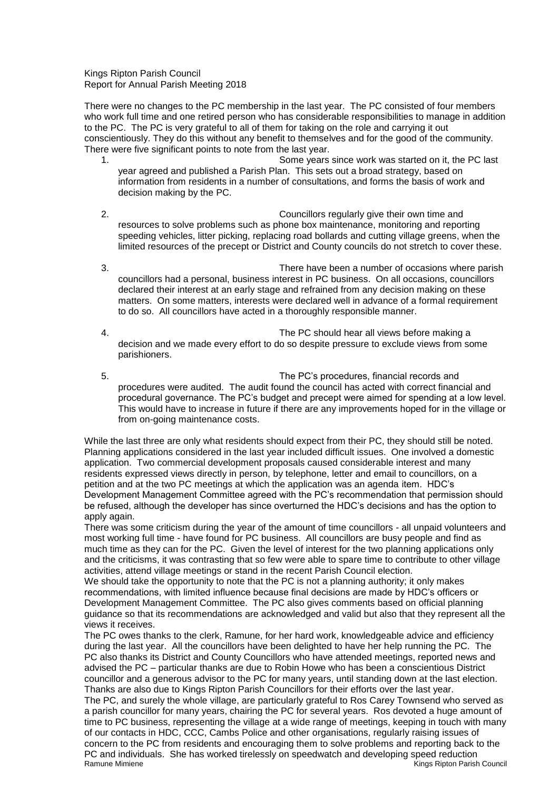Kings Ripton Parish Council Report for Annual Parish Meeting 2018

There were no changes to the PC membership in the last year. The PC consisted of four members who work full time and one retired person who has considerable responsibilities to manage in addition to the PC. The PC is very grateful to all of them for taking on the role and carrying it out conscientiously. They do this without any benefit to themselves and for the good of the community. There were five significant points to note from the last year.

- 1. Some years since work was started on it, the PC last year agreed and published a Parish Plan. This sets out a broad strategy, based on information from residents in a number of consultations, and forms the basis of work and decision making by the PC.
- 2. Councillors regularly give their own time and resources to solve problems such as phone box maintenance, monitoring and reporting speeding vehicles, litter picking, replacing road bollards and cutting village greens, when the limited resources of the precept or District and County councils do not stretch to cover these.
- 3. There have been a number of occasions where parish councillors had a personal, business interest in PC business. On all occasions, councillors declared their interest at an early stage and refrained from any decision making on these matters. On some matters, interests were declared well in advance of a formal requirement to do so. All councillors have acted in a thoroughly responsible manner.
- 4. The PC should hear all views before making a decision and we made every effort to do so despite pressure to exclude views from some parishioners.
- 5. The PC's procedures, financial records and procedures were audited. The audit found the council has acted with correct financial and procedural governance. The PC's budget and precept were aimed for spending at a low level. This would have to increase in future if there are any improvements hoped for in the village or from on-going maintenance costs.

While the last three are only what residents should expect from their PC, they should still be noted. Planning applications considered in the last year included difficult issues. One involved a domestic application. Two commercial development proposals caused considerable interest and many residents expressed views directly in person, by telephone, letter and email to councillors, on a petition and at the two PC meetings at which the application was an agenda item. HDC's Development Management Committee agreed with the PC's recommendation that permission should be refused, although the developer has since overturned the HDC's decisions and has the option to apply again.

There was some criticism during the year of the amount of time councillors - all unpaid volunteers and most working full time - have found for PC business. All councillors are busy people and find as much time as they can for the PC. Given the level of interest for the two planning applications only and the criticisms, it was contrasting that so few were able to spare time to contribute to other village activities, attend village meetings or stand in the recent Parish Council election.

We should take the opportunity to note that the PC is not a planning authority; it only makes recommendations, with limited influence because final decisions are made by HDC's officers or Development Management Committee. The PC also gives comments based on official planning guidance so that its recommendations are acknowledged and valid but also that they represent all the views it receives.

Ramune Mimiene **Kings Ripton Parish Council** The PC owes thanks to the clerk, Ramune, for her hard work, knowledgeable advice and efficiency during the last year. All the councillors have been delighted to have her help running the PC. The PC also thanks its District and County Councillors who have attended meetings, reported news and advised the PC – particular thanks are due to Robin Howe who has been a conscientious District councillor and a generous advisor to the PC for many years, until standing down at the last election. Thanks are also due to Kings Ripton Parish Councillors for their efforts over the last year. The PC, and surely the whole village, are particularly grateful to Ros Carey Townsend who served as a parish councillor for many years, chairing the PC for several years. Ros devoted a huge amount of time to PC business, representing the village at a wide range of meetings, keeping in touch with many of our contacts in HDC, CCC, Cambs Police and other organisations, regularly raising issues of concern to the PC from residents and encouraging them to solve problems and reporting back to the PC and individuals. She has worked tirelessly on speedwatch and developing speed reduction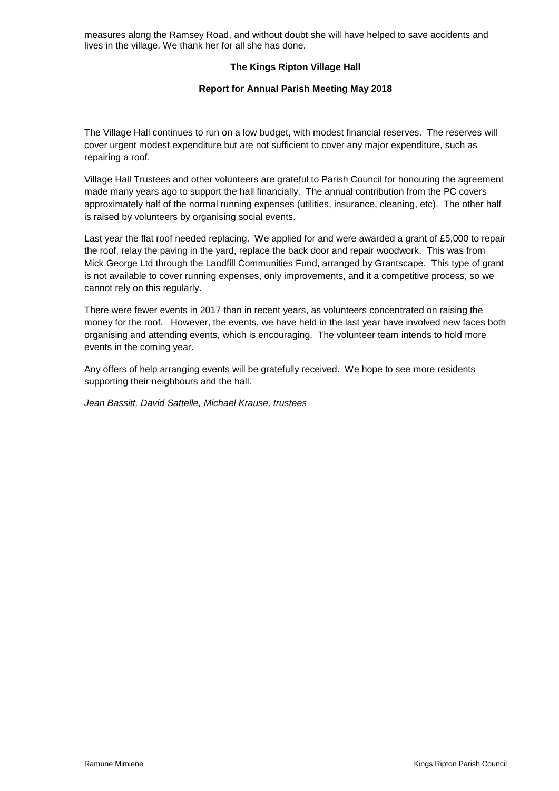measures along the Ramsey Road, and without doubt she will have helped to save accidents and lives in the village. We thank her for all she has done.

## **The Kings Ripton Village Hall**

### **Report for Annual Parish Meeting May 2018**

The Village Hall continues to run on a low budget, with modest financial reserves. The reserves will cover urgent modest expenditure but are not sufficient to cover any major expenditure, such as repairing a roof.

Village Hall Trustees and other volunteers are grateful to Parish Council for honouring the agreement made many years ago to support the hall financially. The annual contribution from the PC covers approximately half of the normal running expenses (utilities, insurance, cleaning, etc). The other half is raised by volunteers by organising social events.

Last year the flat roof needed replacing. We applied for and were awarded a grant of £5,000 to repair the roof, relay the paving in the yard, replace the back door and repair woodwork. This was from Mick George Ltd through the Landfill Communities Fund, arranged by Grantscape. This type of grant is not available to cover running expenses, only improvements, and it a competitive process, so we cannot rely on this regularly.

There were fewer events in 2017 than in recent years, as volunteers concentrated on raising the money for the roof. However, the events, we have held in the last year have involved new faces both organising and attending events, which is encouraging. The volunteer team intends to hold more events in the coming year.

Any offers of help arranging events will be gratefully received. We hope to see more residents supporting their neighbours and the hall.

*Jean Bassitt, David Sattelle, Michael Krause, trustees*